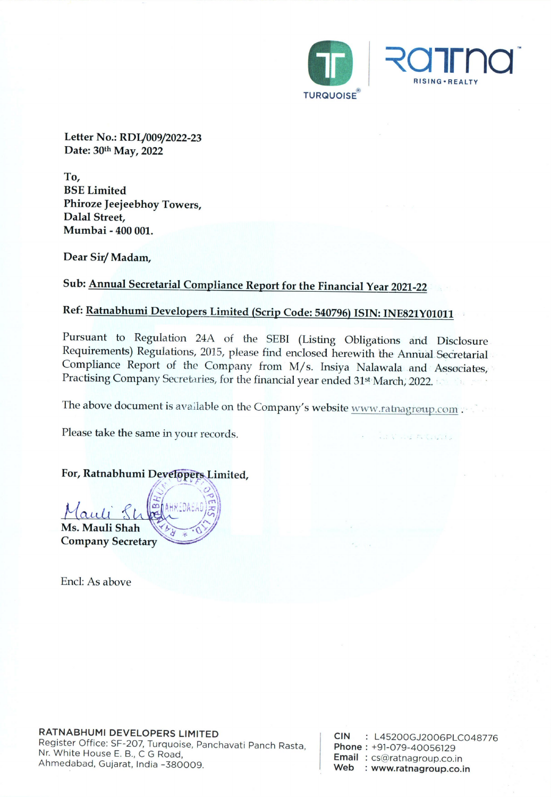

Letter No.: RDL/009/2022-23 Date: 30th May, 2022

To, BSE Limited Phiroze Jeejeebhoy Towers, Dalal Street, Mumbai - 400 001.

Dear Sir/ Madam,

### Sub: Annual Secretarial Compliance Report for the Financial Year 2021-22

### Ref: Ratnabhumi Developers Limited (Scrip Code: 540796) ISIN: INE821Y01011

Pursuant to Regulation 24A of the SEBI (Listing Obligations and Disclosure Requirements) Regulations, 2015, please find enclosed herewith the Annual Secretarial Compliance Report of the Company from M/s. Insiya Nalawala an

The above document is available on the Company's website www.ratnagroup.com .

Please take the same in your records.

For, Ratnabhumi Developers Limited,

Mauli Shah Care (1985)

Ms. Mauli Shah<br>Company Secretary  $\sim$ 

Encl: As above

| <b>CIN</b> | : L45200GJ2006PLC048776    |
|------------|----------------------------|
|            | Phone: +91-079-40056129    |
|            | Email: cs@ratnagroup.co.in |
| Web        | : www.ratnagroup.co.in     |

an modulation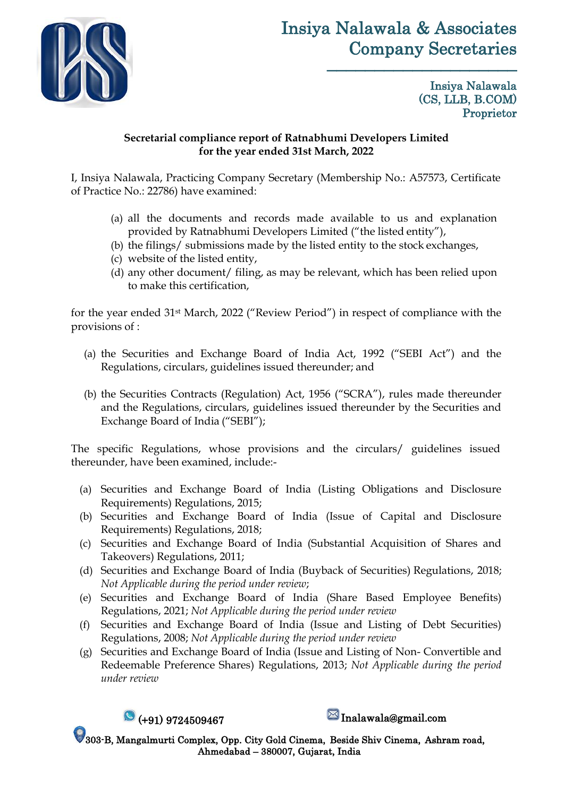

# Insiya Nalawala & Associates Company Secretaries

––––––––––––––––––––

Insiya Nalawala (CS, LLB, B.COM) Proprietor

#### **Secretarial compliance report of Ratnabhumi Developers Limited for the year ended 31st March, 2022**

I, Insiya Nalawala, Practicing Company Secretary (Membership No.: A57573, Certificate of Practice No.: 22786) have examined:

- (a) all the documents and records made available to us and explanation provided by Ratnabhumi Developers Limited ("the listed entity"),
- (b) the filings/ submissions made by the listed entity to the stock exchanges,
- (c) website of the listed entity,
- (d) any other document/ filing, as may be relevant, which has been relied upon to make this certification,

for the year ended 31st March, 2022 ("Review Period") in respect of compliance with the provisions of :

- (a) the Securities and Exchange Board of India Act, 1992 ("SEBI Act") and the Regulations, circulars, guidelines issued thereunder; and
- (b) the Securities Contracts (Regulation) Act, 1956 ("SCRA"), rules made thereunder and the Regulations, circulars, guidelines issued thereunder by the Securities and Exchange Board of India ("SEBI");

The specific Regulations, whose provisions and the circulars/ guidelines issued thereunder, have been examined, include:-

- (a) Securities and Exchange Board of India (Listing Obligations and Disclosure Requirements) Regulations, 2015;
- (b) Securities and Exchange Board of India (Issue of Capital and Disclosure Requirements) Regulations, 2018;
- (c) Securities and Exchange Board of India (Substantial Acquisition of Shares and Takeovers) Regulations, 2011;
- (d) Securities and Exchange Board of India (Buyback of Securities) Regulations, 2018; *Not Applicable during the period under review*;
- (e) Securities and Exchange Board of India (Share Based Employee Benefits) Regulations, 2021; *Not Applicable during the period under review*
- (f) Securities and Exchange Board of India (Issue and Listing of Debt Securities) Regulations, 2008; *Not Applicable during the period under review*
- (g) Securities and Exchange Board of India (Issue and Listing of Non- Convertible and Redeemable Preference Shares) Regulations, 2013; *Not Applicable during the period under review*



303-B, Mangalmurti Complex, Opp. City Gold Cinema, Beside Shiv Cinema, Ashram road, Ahmedabad – 380007, Gujarat, India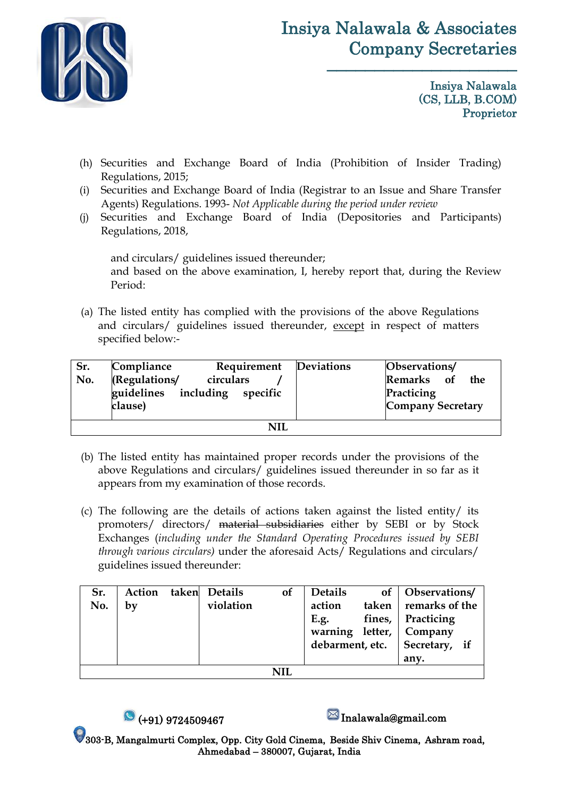

# Insiya Nalawala & Associates Company Secretaries

––––––––––––––––––––

Insiya Nalawala (CS, LLB, B.COM) Proprietor

- (h) Securities and Exchange Board of India (Prohibition of Insider Trading) Regulations, 2015;
- (i) Securities and Exchange Board of India (Registrar to an Issue and Share Transfer Agents) Regulations. 1993- *Not Applicable during the period under review*
- (j) Securities and Exchange Board of India (Depositories and Participants) Regulations, 2018,

and circulars/ guidelines issued thereunder; and based on the above examination, I, hereby report that, during the Review Period:

(a) The listed entity has complied with the provisions of the above Regulations and circulars/ guidelines issued thereunder, except in respect of matters specified below:-

| Sr.<br>No. | Compliance<br>(Regulations/<br>guidelines<br>clause) | Requirement<br>circulars<br>including specific | Deviations | Observations/<br>Remarks of<br>the<br>Practicing<br>Company Secretary |  |  |
|------------|------------------------------------------------------|------------------------------------------------|------------|-----------------------------------------------------------------------|--|--|
| NH         |                                                      |                                                |            |                                                                       |  |  |

- (b) The listed entity has maintained proper records under the provisions of the above Regulations and circulars/ guidelines issued thereunder in so far as it appears from my examination of those records.
- (c) The following are the details of actions taken against the listed entity/ its promoters/ directors/ material subsidiaries either by SEBI or by Stock Exchanges (*including under the Standard Operating Procedures issued by SEBI through various circulars)* under the aforesaid Acts/ Regulations and circulars/ guidelines issued thereunder:

| Sr. | Action |  | taken Details | <b>of</b> | <b>Details</b> |                | of   Observations/              |
|-----|--------|--|---------------|-----------|----------------|----------------|---------------------------------|
| No. | by     |  | violation     |           | action         |                | taken remarks of the            |
|     |        |  |               |           | E.g.           | fines, $\vert$ | Practicing                      |
|     |        |  |               |           |                |                | warning letter, Company         |
|     |        |  |               |           |                |                | debarment, etc.   Secretary, if |
|     |        |  |               |           |                |                | any.                            |
|     |        |  |               |           |                |                |                                 |

 $\bullet$  (+91) 9724509467  $\bullet$  Inalawala@gmail.com

303-B, Mangalmurti Complex, Opp. City Gold Cinema, Beside Shiv Cinema, Ashram road, Ahmedabad – 380007, Gujarat, India